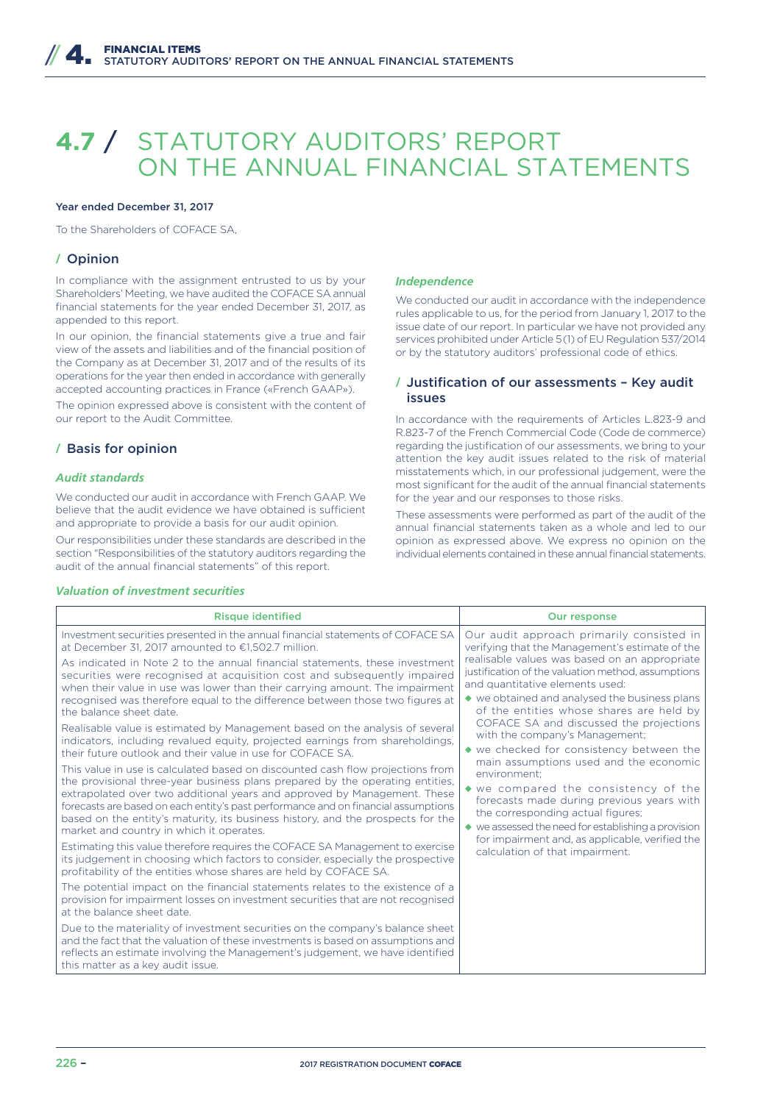# **4.7** / STATUTORY AUDITORS' REPORT ON THE ANNUAL FINANCIAL STATEMENTS

## Year ended December 31, 2017

To the Shareholders of COFACE SA,

# **/** Opinion

In compliance with the assignment entrusted to us by your Shareholders' Meeting, we have audited the COFACE SA annual financial statements for the year ended December 31, 2017, as appended to this report.

In our opinion, the financial statements give a true and fair view of the assets and liabilities and of the financial position of the Company as at December 31, 2017 and of the results of its operations for the year then ended in accordance with generally accepted accounting practices in France («French GAAP»).

The opinion expressed above is consistent with the content of our report to the Audit Committee.

## **/** Basis for opinion

#### *Audit standards*

We conducted our audit in accordance with French GAAP. We believe that the audit evidence we have obtained is sufficient and appropriate to provide a basis for our audit opinion.

Our responsibilities under these standards are described in the section "Responsibilities of the statutory auditors regarding the audit of the annual financial statements" of this report.

#### *Valuation of investment securities*

#### *Independence*

We conducted our audit in accordance with the independence rules applicable to us, for the period from January 1, 2017 to the issue date of our report. In particular we have not provided any services prohibited under Article 5(1) of EU Regulation 537/2014 or by the statutory auditors' professional code of ethics.

# **/** Justification of our assessments – Key audit issues

In accordance with the requirements of Articles L.823-9 and R.823-7 of the French Commercial Code (Code de commerce) regarding the justification of our assessments, we bring to your attention the key audit issues related to the risk of material misstatements which, in our professional judgement, were the most significant for the audit of the annual financial statements for the year and our responses to those risks.

These assessments were performed as part of the audit of the annual financial statements taken as a whole and led to our opinion as expressed above. We express no opinion on the individual elements contained in these annual financial statements.

| <b>Risque identified</b>                                                                                                                                                                                                                                                                                                                                                                                                                                                                                                                                                                                                                                                                                                    | <b>Our response</b>                                                                                                                                                                                                                                                                                                                                                                                                                                                                                                                                                                                                                                                                                                                                                                                                 |
|-----------------------------------------------------------------------------------------------------------------------------------------------------------------------------------------------------------------------------------------------------------------------------------------------------------------------------------------------------------------------------------------------------------------------------------------------------------------------------------------------------------------------------------------------------------------------------------------------------------------------------------------------------------------------------------------------------------------------------|---------------------------------------------------------------------------------------------------------------------------------------------------------------------------------------------------------------------------------------------------------------------------------------------------------------------------------------------------------------------------------------------------------------------------------------------------------------------------------------------------------------------------------------------------------------------------------------------------------------------------------------------------------------------------------------------------------------------------------------------------------------------------------------------------------------------|
| Investment securities presented in the annual financial statements of COFACE SA<br>at December 31, 2017 amounted to €1.502.7 million.<br>As indicated in Note 2 to the annual financial statements, these investment<br>securities were recognised at acquisition cost and subsequently impaired<br>when their value in use was lower than their carrying amount. The impairment<br>recognised was therefore equal to the difference between those two figures at<br>the balance sheet date.<br>Realisable value is estimated by Management based on the analysis of several<br>indicators, including revalued equity, projected earnings from shareholdings,<br>their future outlook and their value in use for COFACE SA. | Our audit approach primarily consisted in<br>verifying that the Management's estimate of the<br>realisable values was based on an appropriate<br>justification of the valuation method, assumptions<br>and quantitative elements used:<br>◆ we obtained and analysed the business plans<br>of the entities whose shares are held by<br>COFACE SA and discussed the projections<br>with the company's Management;<br>◆ we checked for consistency between the<br>main assumptions used and the economic<br>environment:<br>$\bullet$ we compared the consistency of the<br>forecasts made during previous years with<br>the corresponding actual figures;<br>$\blacklozenge$ we assessed the need for establishing a provision<br>for impairment and, as applicable, verified the<br>calculation of that impairment. |
| This value in use is calculated based on discounted cash flow projections from<br>the provisional three-year business plans prepared by the operating entities,<br>extrapolated over two additional years and approved by Management. These<br>forecasts are based on each entity's past performance and on financial assumptions<br>based on the entity's maturity, its business history, and the prospects for the<br>market and country in which it operates.<br>Estimating this value therefore requires the COFACE SA Management to exercise<br>its judgement in choosing which factors to consider, especially the prospective<br>profitability of the entities whose shares are held by COFACE SA.                   |                                                                                                                                                                                                                                                                                                                                                                                                                                                                                                                                                                                                                                                                                                                                                                                                                     |
| The potential impact on the financial statements relates to the existence of a<br>provision for impairment losses on investment securities that are not recognised<br>at the balance sheet date.                                                                                                                                                                                                                                                                                                                                                                                                                                                                                                                            |                                                                                                                                                                                                                                                                                                                                                                                                                                                                                                                                                                                                                                                                                                                                                                                                                     |
| Due to the materiality of investment securities on the company's balance sheet<br>and the fact that the valuation of these investments is based on assumptions and<br>reflects an estimate involving the Management's judgement, we have identified<br>this matter as a key audit issue.                                                                                                                                                                                                                                                                                                                                                                                                                                    |                                                                                                                                                                                                                                                                                                                                                                                                                                                                                                                                                                                                                                                                                                                                                                                                                     |
|                                                                                                                                                                                                                                                                                                                                                                                                                                                                                                                                                                                                                                                                                                                             |                                                                                                                                                                                                                                                                                                                                                                                                                                                                                                                                                                                                                                                                                                                                                                                                                     |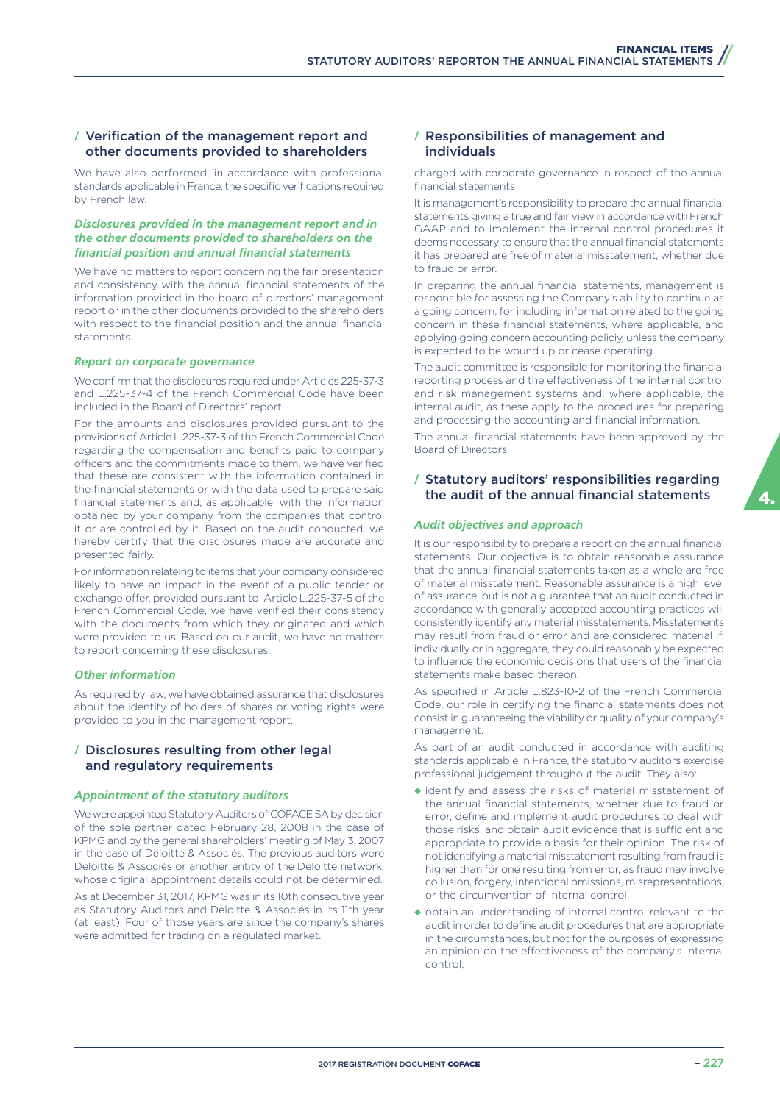# **/** Verification of the management report and other documents provided to shareholders

We have also performed, in accordance with professional standards applicable in France, the specific verifications required by French law.

## *Disclosures provided in the management report and in the other documents provided to shareholders on the financial position and annual financial statements*

We have no matters to report concerning the fair presentation and consistency with the annual financial statements of the information provided in the board of directors' management report or in the other documents provided to the shareholders with respect to the financial position and the annual financial statements.

#### *Report on corporate governance*

We confirm that the disclosures required under Articles 225-37-3 and L.225-37-4 of the French Commercial Code have been included in the Board of Directors' report.

For the amounts and disclosures provided pursuant to the provisions of Article L.225-37-3 of the French Commercial Code regarding the compensation and benefits paid to company officers and the commitments made to them, we have verified that these are consistent with the information contained in the financial statements or with the data used to prepare said financial statements and, as applicable, with the information obtained by your company from the companies that control it or are controlled by it. Based on the audit conducted, we hereby certify that the disclosures made are accurate and presented fairly.

For information relateing to items that your company considered likely to have an impact in the event of a public tender or exchange offer, provided pursuant to Article L.225-37-5 of the French Commercial Code, we have verified their consistency with the documents from which they originated and which were provided to us. Based on our audit, we have no matters to report concerning these disclosures.

#### *Other information*

As required by law, we have obtained assurance that disclosures about the identity of holders of shares or voting rights were provided to you in the management report.

# **/** Disclosures resulting from other legal and regulatory requirements

#### *Appointment of the statutory auditors*

We were appointed Statutory Auditors of COFACE SA by decision of the sole partner dated February 28, 2008 in the case of KPMG and by the general shareholders' meeting of May 3, 2007 in the case of Deloitte & Associés. The previous auditors were Deloitte & Associés or another entity of the Deloitte network, whose original appointment details could not be determined.

As at December 31, 2017, KPMG was in its 10th consecutive year as Statutory Auditors and Deloitte & Associés in its 11th year (at least). Four of those years are since the company's shares were admitted for trading on a regulated market.

# **/** Responsibilities of management and individuals

charged with corporate governance in respect of the annual financial statements

It is management's responsibility to prepare the annual financial statements giving a true and fair view in accordance with French GAAP and to implement the internal control procedures it deems necessary to ensure that the annual financial statements it has prepared are free of material misstatement, whether due to fraud or error.

In preparing the annual financial statements, management is responsible for assessing the Company's ability to continue as a going concern, for including information related to the going concern in these financial statements, where applicable, and applying going concern accounting policiy, unless the company is expected to be wound up or cease operating.

The audit committee is responsible for monitoring the financial reporting process and the effectiveness of the internal control and risk management systems and, where applicable, the internal audit, as these apply to the procedures for preparing and processing the accounting and financial information.

The annual financial statements have been approved by the Board of Directors.

# **/** Statutory auditors' responsibilities regarding the audit of the annual financial statements

#### *Audit objectives and approach*

It is our responsibility to prepare a report on the annual financial statements. Our objective is to obtain reasonable assurance that the annual financial statements taken as a whole are free of material misstatement. Reasonable assurance is a high level of assurance, but is not a guarantee that an audit conducted in accordance with generally accepted accounting practices will consistently identify any material misstatements. Misstatements may resutl from fraud or error and are considered material if, individually or in aggregate, they could reasonably be expected to influence the economic decisions that users of the financial statements make based thereon.

As specified in Article L.823-10-2 of the French Commercial Code, our role in certifying the financial statements does not consist in guaranteeing the viability or quality of your company's management.

As part of an audit conducted in accordance with auditing standards applicable in France, the statutory auditors exercise professional judgement throughout the audit. They also:

- ◆ identify and assess the risks of material misstatement of the annual financial statements, whether due to fraud or error, define and implement audit procedures to deal with those risks, and obtain audit evidence that is sufficient and appropriate to provide a basis for their opinion. The risk of not identifying a material misstatement resulting from fraud is higher than for one resulting from error, as fraud may involve collusion, forgery, intentional omissions, misrepresentations, or the circumvention of internal control;
- ◆ obtain an understanding of internal control relevant to the audit in order to define audit procedures that are appropriate in the circumstances, but not for the purposes of expressing an opinion on the effectiveness of the company's internal control;

4.